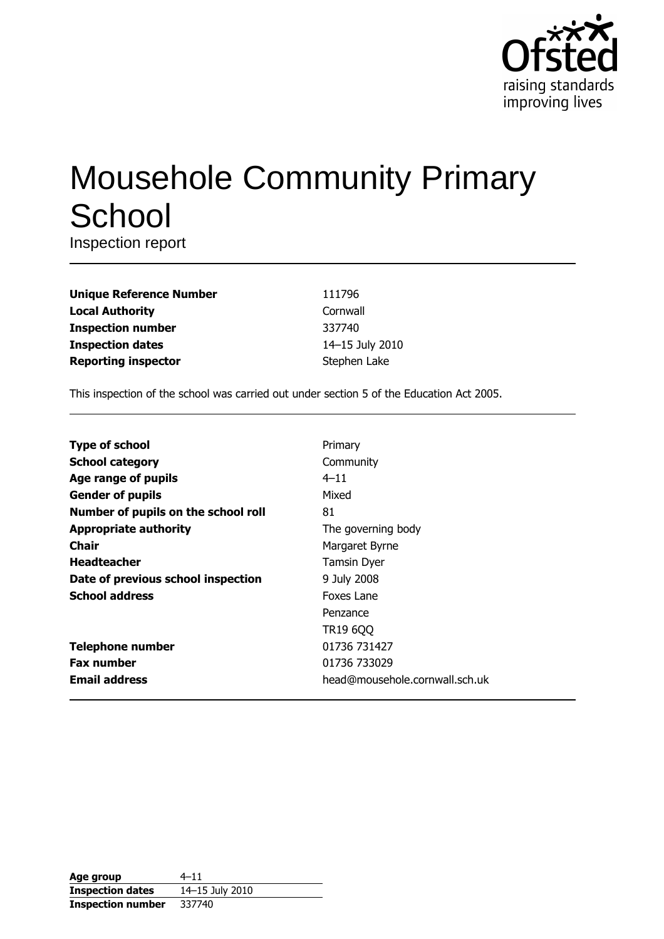

# **Mousehole Community Primary** School

Inspection report

| <b>Unique Reference Number</b> |
|--------------------------------|
| <b>Local Authority</b>         |
| <b>Inspection number</b>       |
| <b>Inspection dates</b>        |
| <b>Reporting inspector</b>     |

111796 Cornwall 337740 14-15 July 2010 Stephen Lake

This inspection of the school was carried out under section 5 of the Education Act 2005.

| <b>Type of school</b>               | Primary                        |
|-------------------------------------|--------------------------------|
| <b>School category</b>              | Community                      |
| Age range of pupils                 | $4 - 11$                       |
| <b>Gender of pupils</b>             | Mixed                          |
| Number of pupils on the school roll | 81                             |
| <b>Appropriate authority</b>        | The governing body             |
| Chair                               | Margaret Byrne                 |
| <b>Headteacher</b>                  | <b>Tamsin Dyer</b>             |
| Date of previous school inspection  | 9 July 2008                    |
| <b>School address</b>               | Foxes Lane                     |
|                                     | Penzance                       |
|                                     | TR19 6QQ                       |
| <b>Telephone number</b>             | 01736 731427                   |
| <b>Fax number</b>                   | 01736 733029                   |
| <b>Email address</b>                | head@mousehole.cornwall.sch.uk |

| Age group                | $4 - 11$        |
|--------------------------|-----------------|
| <b>Inspection dates</b>  | 14-15 July 2010 |
| <b>Inspection number</b> | 337740          |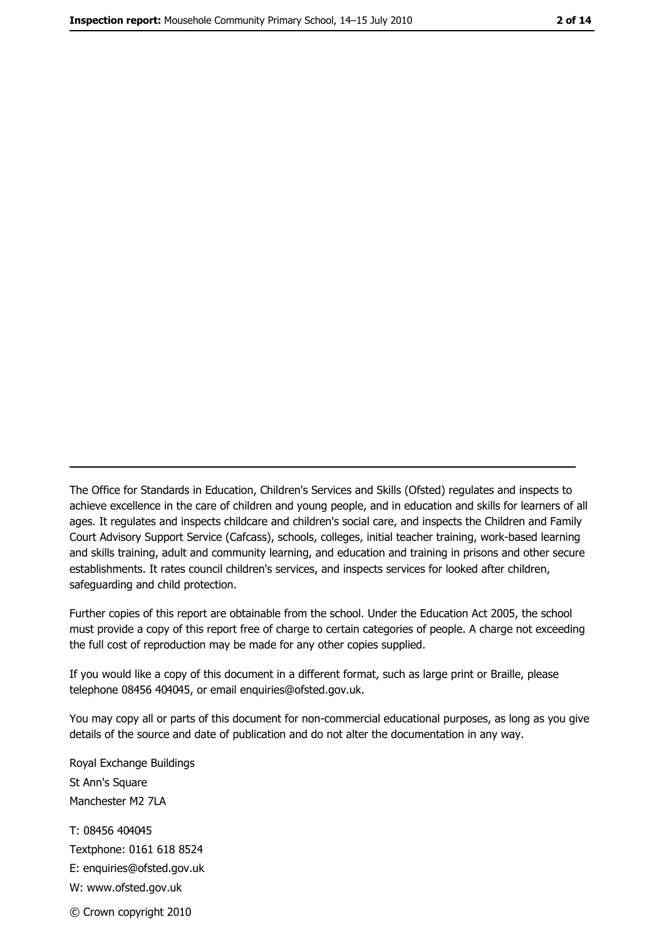The Office for Standards in Education, Children's Services and Skills (Ofsted) regulates and inspects to achieve excellence in the care of children and young people, and in education and skills for learners of all ages. It regulates and inspects childcare and children's social care, and inspects the Children and Family Court Advisory Support Service (Cafcass), schools, colleges, initial teacher training, work-based learning and skills training, adult and community learning, and education and training in prisons and other secure establishments. It rates council children's services, and inspects services for looked after children, safequarding and child protection.

Further copies of this report are obtainable from the school. Under the Education Act 2005, the school must provide a copy of this report free of charge to certain categories of people. A charge not exceeding the full cost of reproduction may be made for any other copies supplied.

If you would like a copy of this document in a different format, such as large print or Braille, please telephone 08456 404045, or email enquiries@ofsted.gov.uk.

You may copy all or parts of this document for non-commercial educational purposes, as long as you give details of the source and date of publication and do not alter the documentation in any way.

Royal Exchange Buildings St Ann's Square Manchester M2 7LA T: 08456 404045 Textphone: 0161 618 8524 E: enquiries@ofsted.gov.uk W: www.ofsted.gov.uk

© Crown copyright 2010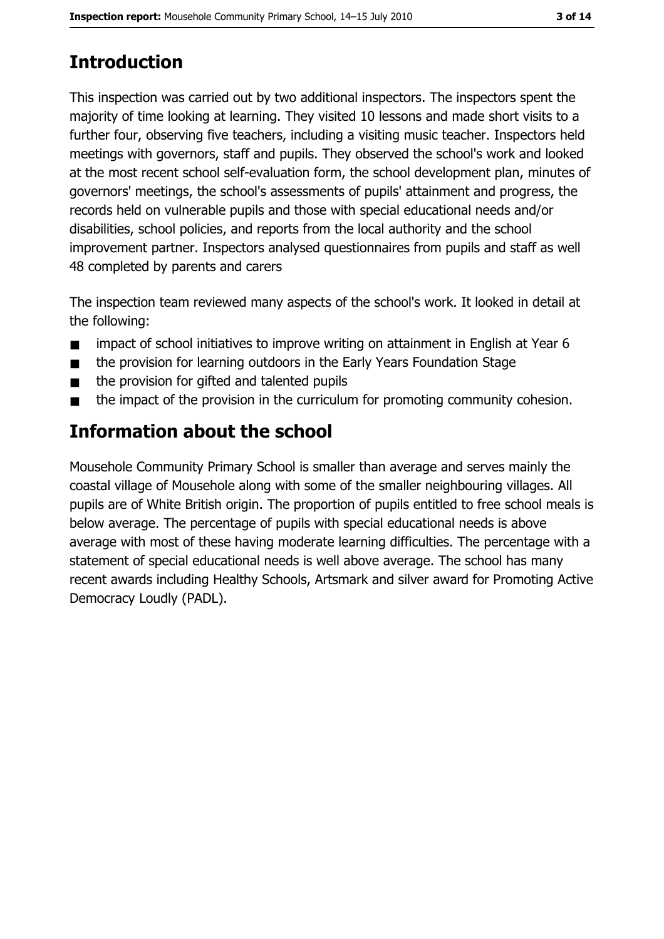# **Introduction**

This inspection was carried out by two additional inspectors. The inspectors spent the majority of time looking at learning. They visited 10 lessons and made short visits to a further four, observing five teachers, including a visiting music teacher. Inspectors held meetings with governors, staff and pupils. They observed the school's work and looked at the most recent school self-evaluation form, the school development plan, minutes of governors' meetings, the school's assessments of pupils' attainment and progress, the records held on vulnerable pupils and those with special educational needs and/or disabilities, school policies, and reports from the local authority and the school improvement partner. Inspectors analysed questionnaires from pupils and staff as well 48 completed by parents and carers

The inspection team reviewed many aspects of the school's work. It looked in detail at the following:

- impact of school initiatives to improve writing on attainment in English at Year 6  $\blacksquare$
- the provision for learning outdoors in the Early Years Foundation Stage  $\blacksquare$
- the provision for gifted and talented pupils  $\blacksquare$
- the impact of the provision in the curriculum for promoting community cohesion.  $\blacksquare$

## Information about the school

Mousehole Community Primary School is smaller than average and serves mainly the coastal village of Mousehole along with some of the smaller neighbouring villages. All pupils are of White British origin. The proportion of pupils entitled to free school meals is below average. The percentage of pupils with special educational needs is above average with most of these having moderate learning difficulties. The percentage with a statement of special educational needs is well above average. The school has many recent awards including Healthy Schools, Artsmark and silver award for Promoting Active Democracy Loudly (PADL).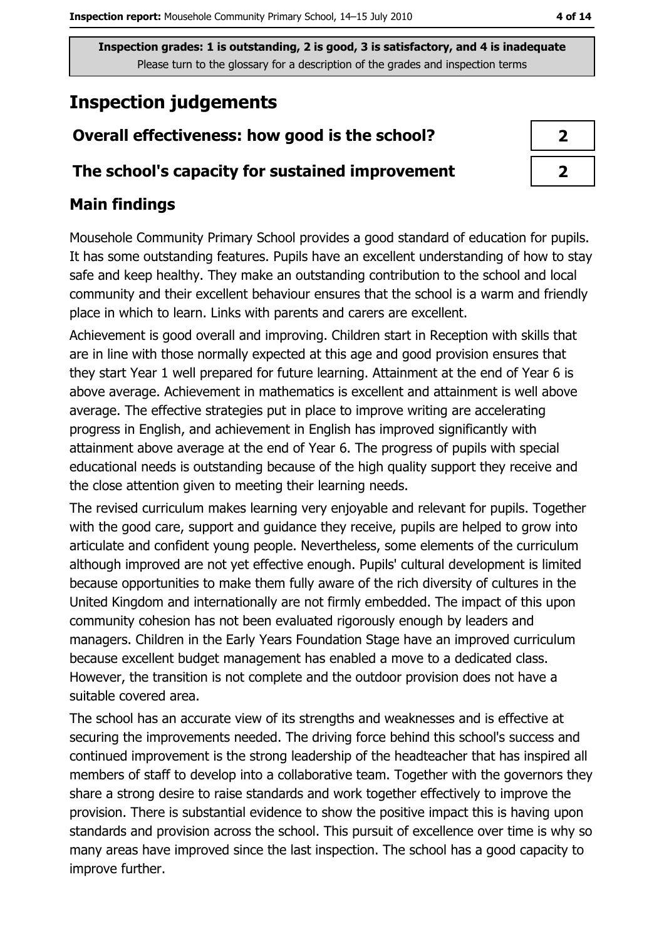# **Inspection judgements**

## Overall effectiveness: how good is the school?

#### The school's capacity for sustained improvement

## **Main findings**

Mousehole Community Primary School provides a good standard of education for pupils. It has some outstanding features. Pupils have an excellent understanding of how to stay safe and keep healthy. They make an outstanding contribution to the school and local community and their excellent behaviour ensures that the school is a warm and friendly place in which to learn. Links with parents and carers are excellent.

Achievement is good overall and improving. Children start in Reception with skills that are in line with those normally expected at this age and good provision ensures that they start Year 1 well prepared for future learning. Attainment at the end of Year 6 is above average. Achievement in mathematics is excellent and attainment is well above average. The effective strategies put in place to improve writing are accelerating progress in English, and achievement in English has improved significantly with attainment above average at the end of Year 6. The progress of pupils with special educational needs is outstanding because of the high quality support they receive and the close attention given to meeting their learning needs.

The revised curriculum makes learning very enjoyable and relevant for pupils. Together with the good care, support and guidance they receive, pupils are helped to grow into articulate and confident young people. Nevertheless, some elements of the curriculum although improved are not yet effective enough. Pupils' cultural development is limited because opportunities to make them fully aware of the rich diversity of cultures in the United Kingdom and internationally are not firmly embedded. The impact of this upon community cohesion has not been evaluated rigorously enough by leaders and managers. Children in the Early Years Foundation Stage have an improved curriculum because excellent budget management has enabled a move to a dedicated class. However, the transition is not complete and the outdoor provision does not have a suitable covered area.

The school has an accurate view of its strengths and weaknesses and is effective at securing the improvements needed. The driving force behind this school's success and continued improvement is the strong leadership of the headteacher that has inspired all members of staff to develop into a collaborative team. Together with the governors they share a strong desire to raise standards and work together effectively to improve the provision. There is substantial evidence to show the positive impact this is having upon standards and provision across the school. This pursuit of excellence over time is why so many areas have improved since the last inspection. The school has a good capacity to improve further.

| 2 |
|---|
| ↗ |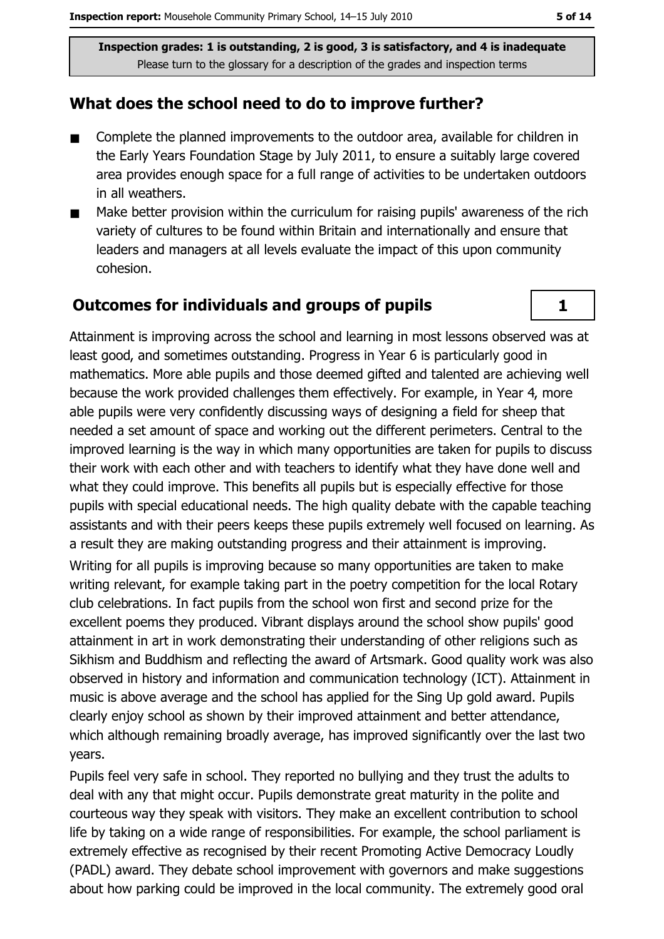#### What does the school need to do to improve further?

- Complete the planned improvements to the outdoor area, available for children in  $\blacksquare$ the Early Years Foundation Stage by July 2011, to ensure a suitably large covered area provides enough space for a full range of activities to be undertaken outdoors in all weathers.
- Make better provision within the curriculum for raising pupils' awareness of the rich  $\blacksquare$ variety of cultures to be found within Britain and internationally and ensure that leaders and managers at all levels evaluate the impact of this upon community cohesion.

#### **Outcomes for individuals and groups of pupils**

Attainment is improving across the school and learning in most lessons observed was at least good, and sometimes outstanding. Progress in Year 6 is particularly good in mathematics. More able pupils and those deemed gifted and talented are achieving well because the work provided challenges them effectively. For example, in Year 4, more able pupils were very confidently discussing ways of designing a field for sheep that needed a set amount of space and working out the different perimeters. Central to the improved learning is the way in which many opportunities are taken for pupils to discuss their work with each other and with teachers to identify what they have done well and what they could improve. This benefits all pupils but is especially effective for those pupils with special educational needs. The high quality debate with the capable teaching assistants and with their peers keeps these pupils extremely well focused on learning. As a result they are making outstanding progress and their attainment is improving.

Writing for all pupils is improving because so many opportunities are taken to make writing relevant, for example taking part in the poetry competition for the local Rotary club celebrations. In fact pupils from the school won first and second prize for the excellent poems they produced. Vibrant displays around the school show pupils' good attainment in art in work demonstrating their understanding of other religions such as Sikhism and Buddhism and reflecting the award of Artsmark. Good quality work was also observed in history and information and communication technology (ICT). Attainment in music is above average and the school has applied for the Sing Up gold award. Pupils clearly enjoy school as shown by their improved attainment and better attendance, which although remaining broadly average, has improved significantly over the last two vears.

Pupils feel very safe in school. They reported no bullying and they trust the adults to deal with any that might occur. Pupils demonstrate great maturity in the polite and courteous way they speak with visitors. They make an excellent contribution to school life by taking on a wide range of responsibilities. For example, the school parliament is extremely effective as recognised by their recent Promoting Active Democracy Loudly (PADL) award. They debate school improvement with governors and make suggestions about how parking could be improved in the local community. The extremely good oral

 $\mathbf{1}$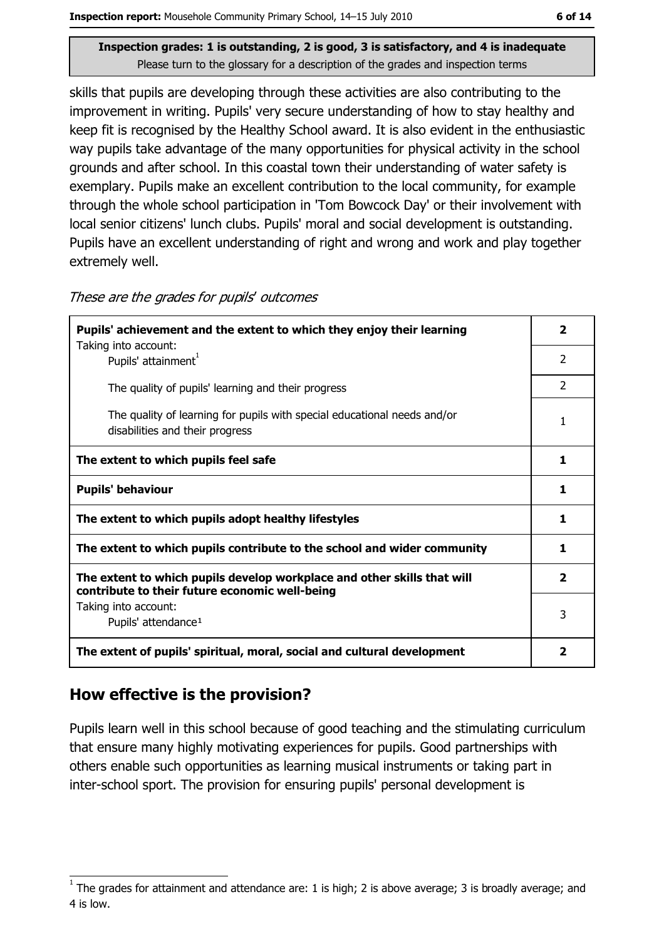skills that pupils are developing through these activities are also contributing to the improvement in writing. Pupils' very secure understanding of how to stay healthy and keep fit is recognised by the Healthy School award. It is also evident in the enthusiastic way pupils take advantage of the many opportunities for physical activity in the school grounds and after school. In this coastal town their understanding of water safety is exemplary. Pupils make an excellent contribution to the local community, for example through the whole school participation in 'Tom Bowcock Day' or their involvement with local senior citizens' lunch clubs. Pupils' moral and social development is outstanding. Pupils have an excellent understanding of right and wrong and work and play together extremely well.

These are the grades for pupils' outcomes

| Pupils' achievement and the extent to which they enjoy their learning                                                     |                         |  |  |  |
|---------------------------------------------------------------------------------------------------------------------------|-------------------------|--|--|--|
| Taking into account:<br>Pupils' attainment <sup>1</sup>                                                                   | $\mathcal{P}$           |  |  |  |
| The quality of pupils' learning and their progress                                                                        | $\mathcal{P}$           |  |  |  |
| The quality of learning for pupils with special educational needs and/or<br>disabilities and their progress               | 1                       |  |  |  |
| The extent to which pupils feel safe                                                                                      | 1                       |  |  |  |
| <b>Pupils' behaviour</b>                                                                                                  | 1                       |  |  |  |
| The extent to which pupils adopt healthy lifestyles                                                                       | 1                       |  |  |  |
| The extent to which pupils contribute to the school and wider community                                                   |                         |  |  |  |
| The extent to which pupils develop workplace and other skills that will<br>contribute to their future economic well-being |                         |  |  |  |
| Taking into account:<br>Pupils' attendance <sup>1</sup>                                                                   |                         |  |  |  |
| The extent of pupils' spiritual, moral, social and cultural development                                                   | $\overline{\mathbf{2}}$ |  |  |  |

#### How effective is the provision?

Pupils learn well in this school because of good teaching and the stimulating curriculum that ensure many highly motivating experiences for pupils. Good partnerships with others enable such opportunities as learning musical instruments or taking part in inter-school sport. The provision for ensuring pupils' personal development is

The grades for attainment and attendance are: 1 is high; 2 is above average; 3 is broadly average; and 4 is low.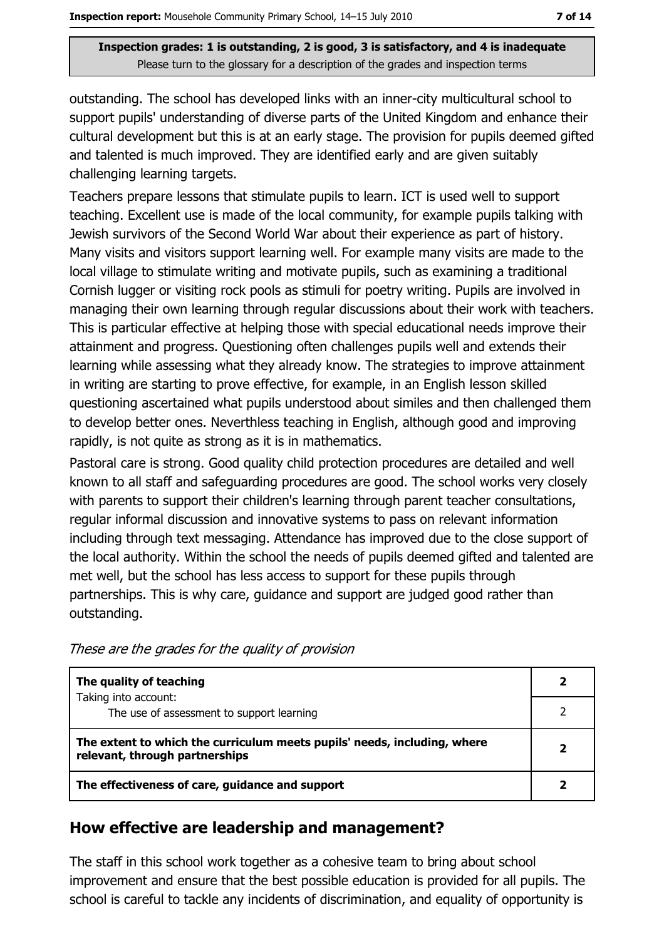outstanding. The school has developed links with an inner-city multicultural school to support pupils' understanding of diverse parts of the United Kingdom and enhance their cultural development but this is at an early stage. The provision for pupils deemed gifted and talented is much improved. They are identified early and are given suitably challenging learning targets.

Teachers prepare lessons that stimulate pupils to learn. ICT is used well to support teaching. Excellent use is made of the local community, for example pupils talking with Jewish survivors of the Second World War about their experience as part of history. Many visits and visitors support learning well. For example many visits are made to the local village to stimulate writing and motivate pupils, such as examining a traditional Cornish lugger or visiting rock pools as stimuli for poetry writing. Pupils are involved in managing their own learning through regular discussions about their work with teachers. This is particular effective at helping those with special educational needs improve their attainment and progress. Questioning often challenges pupils well and extends their learning while assessing what they already know. The strategies to improve attainment in writing are starting to prove effective, for example, in an English lesson skilled questioning ascertained what pupils understood about similes and then challenged them to develop better ones. Neverthless teaching in English, although good and improving rapidly, is not quite as strong as it is in mathematics.

Pastoral care is strong. Good quality child protection procedures are detailed and well known to all staff and safeguarding procedures are good. The school works very closely with parents to support their children's learning through parent teacher consultations, regular informal discussion and innovative systems to pass on relevant information including through text messaging. Attendance has improved due to the close support of the local authority. Within the school the needs of pupils deemed gifted and talented are met well, but the school has less access to support for these pupils through partnerships. This is why care, guidance and support are judged good rather than outstanding.

| The quality of teaching                                                                                    |  |  |  |
|------------------------------------------------------------------------------------------------------------|--|--|--|
| Taking into account:<br>The use of assessment to support learning                                          |  |  |  |
| The extent to which the curriculum meets pupils' needs, including, where<br>relevant, through partnerships |  |  |  |
| The effectiveness of care, guidance and support                                                            |  |  |  |

These are the grades for the quality of provision

#### How effective are leadership and management?

The staff in this school work together as a cohesive team to bring about school improvement and ensure that the best possible education is provided for all pupils. The school is careful to tackle any incidents of discrimination, and equality of opportunity is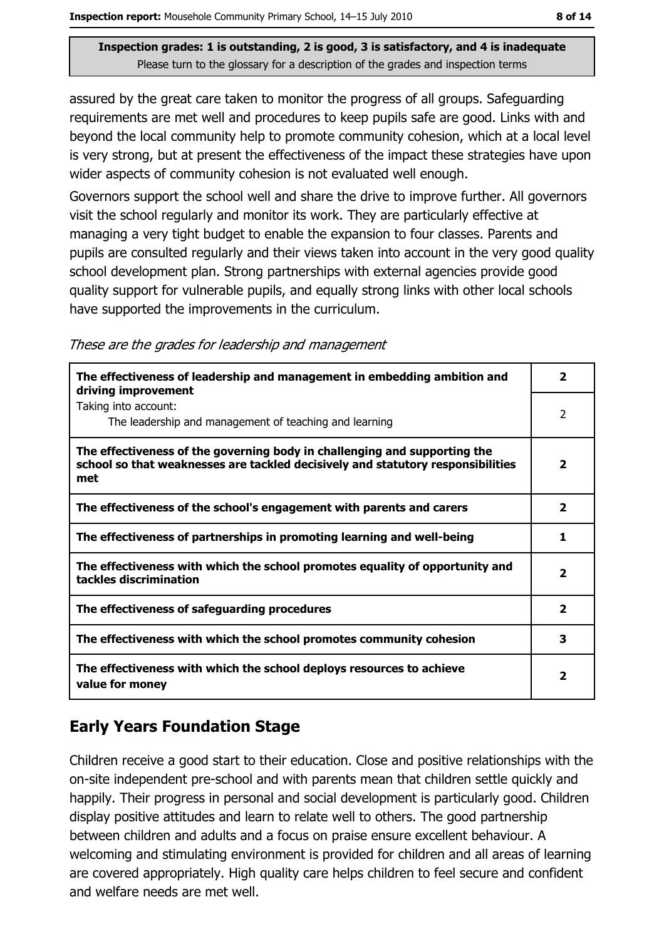assured by the great care taken to monitor the progress of all groups. Safeguarding requirements are met well and procedures to keep pupils safe are good. Links with and beyond the local community help to promote community cohesion, which at a local level is very strong, but at present the effectiveness of the impact these strategies have upon wider aspects of community cohesion is not evaluated well enough.

Governors support the school well and share the drive to improve further. All governors visit the school regularly and monitor its work. They are particularly effective at managing a very tight budget to enable the expansion to four classes. Parents and pupils are consulted regularly and their views taken into account in the very good quality school development plan. Strong partnerships with external agencies provide good quality support for vulnerable pupils, and equally strong links with other local schools have supported the improvements in the curriculum.

|  |  | These are the grades for leadership and management |  |  |
|--|--|----------------------------------------------------|--|--|
|  |  |                                                    |  |  |

| The effectiveness of leadership and management in embedding ambition and<br>driving improvement                                                                     | 2                       |
|---------------------------------------------------------------------------------------------------------------------------------------------------------------------|-------------------------|
| Taking into account:<br>The leadership and management of teaching and learning                                                                                      | 2                       |
| The effectiveness of the governing body in challenging and supporting the<br>school so that weaknesses are tackled decisively and statutory responsibilities<br>met | 2                       |
| The effectiveness of the school's engagement with parents and carers                                                                                                | $\overline{\mathbf{2}}$ |
| The effectiveness of partnerships in promoting learning and well-being                                                                                              |                         |
| The effectiveness with which the school promotes equality of opportunity and<br>tackles discrimination                                                              | $\mathbf{z}$            |
| The effectiveness of safeguarding procedures                                                                                                                        | $\overline{2}$          |
| The effectiveness with which the school promotes community cohesion                                                                                                 | 3                       |
| The effectiveness with which the school deploys resources to achieve<br>value for money                                                                             | 2                       |

#### **Early Years Foundation Stage**

Children receive a good start to their education. Close and positive relationships with the on-site independent pre-school and with parents mean that children settle quickly and happily. Their progress in personal and social development is particularly good. Children display positive attitudes and learn to relate well to others. The good partnership between children and adults and a focus on praise ensure excellent behaviour. A welcoming and stimulating environment is provided for children and all areas of learning are covered appropriately. High quality care helps children to feel secure and confident and welfare needs are met well.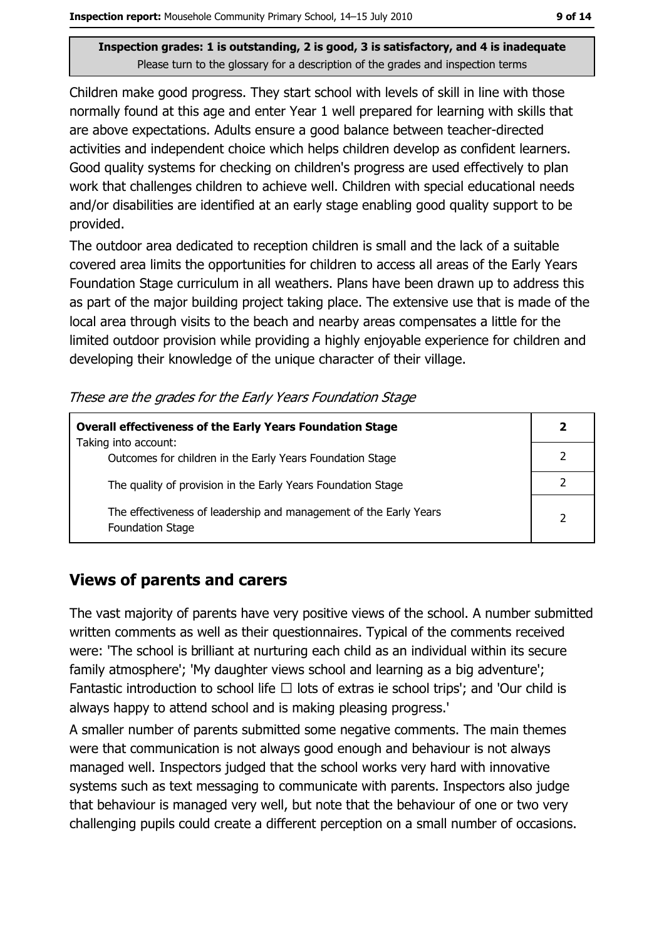Children make good progress. They start school with levels of skill in line with those normally found at this age and enter Year 1 well prepared for learning with skills that are above expectations. Adults ensure a good balance between teacher-directed activities and independent choice which helps children develop as confident learners. Good quality systems for checking on children's progress are used effectively to plan work that challenges children to achieve well. Children with special educational needs and/or disabilities are identified at an early stage enabling good quality support to be provided.

The outdoor area dedicated to reception children is small and the lack of a suitable covered area limits the opportunities for children to access all areas of the Early Years Foundation Stage curriculum in all weathers. Plans have been drawn up to address this as part of the major building project taking place. The extensive use that is made of the local area through visits to the beach and nearby areas compensates a little for the limited outdoor provision while providing a highly enjoyable experience for children and developing their knowledge of the unique character of their village.

These are the grades for the Early Years Foundation Stage

| <b>Overall effectiveness of the Early Years Foundation Stage</b>                             |                |
|----------------------------------------------------------------------------------------------|----------------|
| Taking into account:<br>Outcomes for children in the Early Years Foundation Stage            |                |
| The quality of provision in the Early Years Foundation Stage                                 |                |
| The effectiveness of leadership and management of the Early Years<br><b>Foundation Stage</b> | $\overline{2}$ |

#### **Views of parents and carers**

The vast majority of parents have very positive views of the school. A number submitted written comments as well as their questionnaires. Typical of the comments received were: 'The school is brilliant at nurturing each child as an individual within its secure family atmosphere'; 'My daughter views school and learning as a big adventure'; Fantastic introduction to school life  $\Box$  lots of extras ie school trips'; and 'Our child is always happy to attend school and is making pleasing progress.

A smaller number of parents submitted some negative comments. The main themes were that communication is not always good enough and behaviour is not always managed well. Inspectors judged that the school works very hard with innovative systems such as text messaging to communicate with parents. Inspectors also judge that behaviour is managed very well, but note that the behaviour of one or two very challenging pupils could create a different perception on a small number of occasions.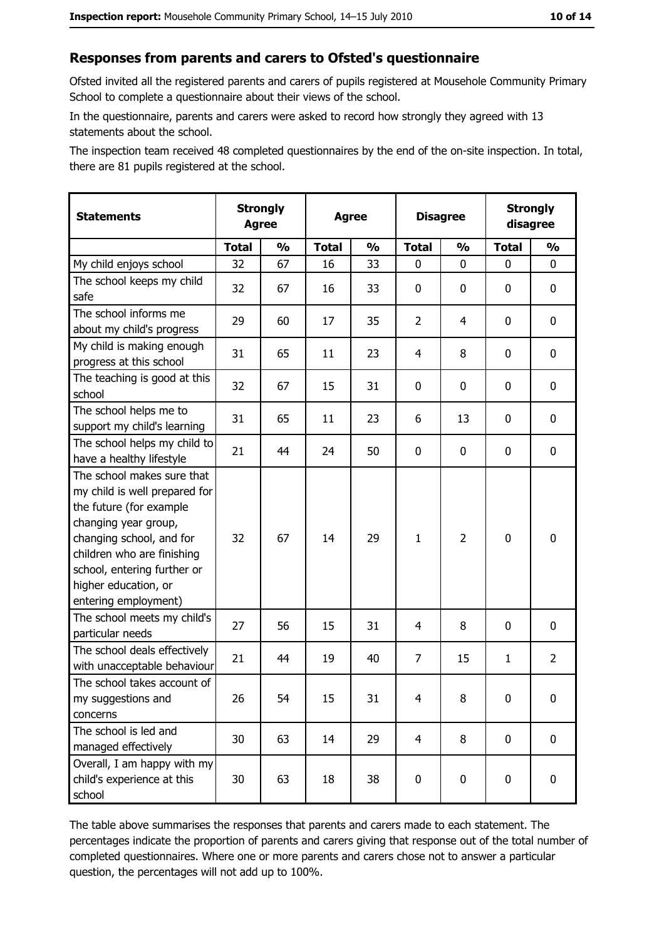#### Responses from parents and carers to Ofsted's questionnaire

Ofsted invited all the registered parents and carers of pupils registered at Mousehole Community Primary School to complete a questionnaire about their views of the school.

In the questionnaire, parents and carers were asked to record how strongly they agreed with 13 statements about the school.

The inspection team received 48 completed questionnaires by the end of the on-site inspection. In total, there are 81 pupils registered at the school.

| <b>Statements</b>                                                                                                                                                                                                                                       |              | <b>Strongly</b><br><b>Agree</b><br><b>Agree</b> |              |               | <b>Disagree</b> | <b>Strongly</b><br>disagree |              |                |
|---------------------------------------------------------------------------------------------------------------------------------------------------------------------------------------------------------------------------------------------------------|--------------|-------------------------------------------------|--------------|---------------|-----------------|-----------------------------|--------------|----------------|
|                                                                                                                                                                                                                                                         | <b>Total</b> | $\frac{1}{2}$                                   | <b>Total</b> | $\frac{0}{0}$ | <b>Total</b>    | $\frac{1}{2}$               | <b>Total</b> | $\frac{1}{2}$  |
| My child enjoys school                                                                                                                                                                                                                                  | 32           | 67                                              | 16           | 33            | 0               | 0                           | $\Omega$     | 0              |
| The school keeps my child<br>safe                                                                                                                                                                                                                       | 32           | 67                                              | 16           | 33            | $\mathbf 0$     | 0                           | $\mathbf{0}$ | 0              |
| The school informs me<br>about my child's progress                                                                                                                                                                                                      | 29           | 60                                              | 17           | 35            | $\overline{2}$  | $\overline{4}$              | 0            | 0              |
| My child is making enough<br>progress at this school                                                                                                                                                                                                    | 31           | 65                                              | 11           | 23            | $\overline{4}$  | 8                           | 0            | 0              |
| The teaching is good at this<br>school                                                                                                                                                                                                                  | 32           | 67                                              | 15           | 31            | $\mathbf 0$     | 0                           | 0            | 0              |
| The school helps me to<br>support my child's learning                                                                                                                                                                                                   | 31           | 65                                              | 11           | 23            | 6               | 13                          | 0            | 0              |
| The school helps my child to<br>have a healthy lifestyle                                                                                                                                                                                                | 21           | 44                                              | 24           | 50            | $\mathbf 0$     | 0                           | 0            | 0              |
| The school makes sure that<br>my child is well prepared for<br>the future (for example<br>changing year group,<br>changing school, and for<br>children who are finishing<br>school, entering further or<br>higher education, or<br>entering employment) | 32           | 67                                              | 14           | 29            | $\mathbf{1}$    | $\overline{2}$              | 0            | 0              |
| The school meets my child's<br>particular needs                                                                                                                                                                                                         | 27           | 56                                              | 15           | 31            | 4               | 8                           | 0            | 0              |
| The school deals effectively<br>with unacceptable behaviour                                                                                                                                                                                             | 21           | 44                                              | 19           | 40            | $\overline{7}$  | 15                          | $\mathbf{1}$ | $\overline{2}$ |
| The school takes account of<br>my suggestions and<br>concerns                                                                                                                                                                                           | 26           | 54                                              | 15           | 31            | $\overline{4}$  | 8                           | 0            | 0              |
| The school is led and<br>managed effectively                                                                                                                                                                                                            | 30           | 63                                              | 14           | 29            | $\overline{4}$  | 8                           | 0            | $\mathbf 0$    |
| Overall, I am happy with my<br>child's experience at this<br>school                                                                                                                                                                                     | 30           | 63                                              | 18           | 38            | $\pmb{0}$       | 0                           | $\mathbf 0$  | 0              |

The table above summarises the responses that parents and carers made to each statement. The percentages indicate the proportion of parents and carers giving that response out of the total number of completed questionnaires. Where one or more parents and carers chose not to answer a particular question, the percentages will not add up to 100%.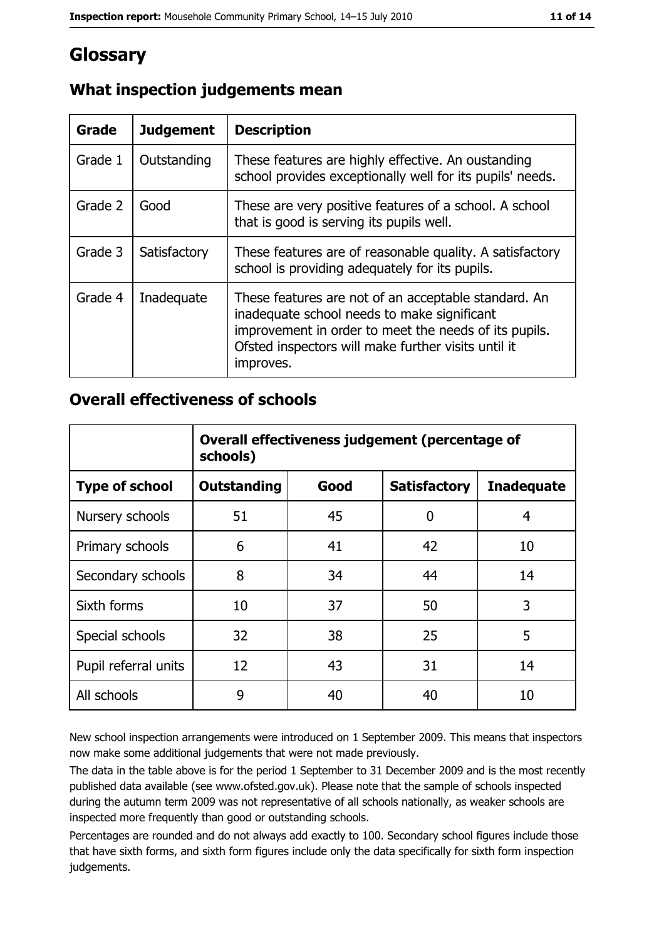## Glossary

| Grade   | <b>Judgement</b> | <b>Description</b>                                                                                                                                                                                                               |
|---------|------------------|----------------------------------------------------------------------------------------------------------------------------------------------------------------------------------------------------------------------------------|
| Grade 1 | Outstanding      | These features are highly effective. An oustanding<br>school provides exceptionally well for its pupils' needs.                                                                                                                  |
| Grade 2 | Good             | These are very positive features of a school. A school<br>that is good is serving its pupils well.                                                                                                                               |
| Grade 3 | Satisfactory     | These features are of reasonable quality. A satisfactory<br>school is providing adequately for its pupils.                                                                                                                       |
| Grade 4 | Inadequate       | These features are not of an acceptable standard. An<br>inadequate school needs to make significant<br>improvement in order to meet the needs of its pupils.<br>Ofsted inspectors will make further visits until it<br>improves. |

## What inspection judgements mean

#### **Overall effectiveness of schools**

|                       | Overall effectiveness judgement (percentage of<br>schools) |      |                     |                   |
|-----------------------|------------------------------------------------------------|------|---------------------|-------------------|
| <b>Type of school</b> | <b>Outstanding</b>                                         | Good | <b>Satisfactory</b> | <b>Inadequate</b> |
| Nursery schools       | 51                                                         | 45   | 0                   | 4                 |
| Primary schools       | 6                                                          | 41   | 42                  | 10                |
| Secondary schools     | 8                                                          | 34   | 44                  | 14                |
| Sixth forms           | 10                                                         | 37   | 50                  | 3                 |
| Special schools       | 32                                                         | 38   | 25                  | 5                 |
| Pupil referral units  | 12                                                         | 43   | 31                  | 14                |
| All schools           | 9                                                          | 40   | 40                  | 10                |

New school inspection arrangements were introduced on 1 September 2009. This means that inspectors now make some additional judgements that were not made previously.

The data in the table above is for the period 1 September to 31 December 2009 and is the most recently published data available (see www.ofsted.gov.uk). Please note that the sample of schools inspected during the autumn term 2009 was not representative of all schools nationally, as weaker schools are inspected more frequently than good or outstanding schools.

Percentages are rounded and do not always add exactly to 100. Secondary school figures include those that have sixth forms, and sixth form figures include only the data specifically for sixth form inspection judgements.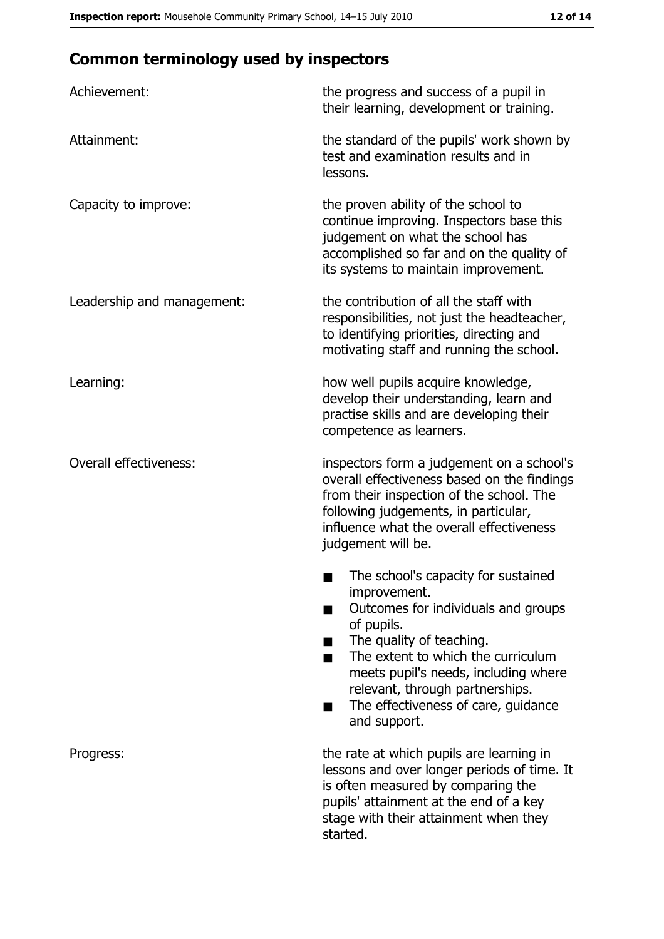# **Common terminology used by inspectors**

| Achievement:                  | the progress and success of a pupil in<br>their learning, development or training.                                                                                                                                                                                                                           |  |  |
|-------------------------------|--------------------------------------------------------------------------------------------------------------------------------------------------------------------------------------------------------------------------------------------------------------------------------------------------------------|--|--|
| Attainment:                   | the standard of the pupils' work shown by<br>test and examination results and in<br>lessons.                                                                                                                                                                                                                 |  |  |
| Capacity to improve:          | the proven ability of the school to<br>continue improving. Inspectors base this<br>judgement on what the school has<br>accomplished so far and on the quality of<br>its systems to maintain improvement.                                                                                                     |  |  |
| Leadership and management:    | the contribution of all the staff with<br>responsibilities, not just the headteacher,<br>to identifying priorities, directing and<br>motivating staff and running the school.                                                                                                                                |  |  |
| Learning:                     | how well pupils acquire knowledge,<br>develop their understanding, learn and<br>practise skills and are developing their<br>competence as learners.                                                                                                                                                          |  |  |
| <b>Overall effectiveness:</b> | inspectors form a judgement on a school's<br>overall effectiveness based on the findings<br>from their inspection of the school. The<br>following judgements, in particular,<br>influence what the overall effectiveness<br>judgement will be.                                                               |  |  |
|                               | The school's capacity for sustained<br>improvement.<br>Outcomes for individuals and groups<br>of pupils.<br>The quality of teaching.<br>The extent to which the curriculum<br>meets pupil's needs, including where<br>relevant, through partnerships.<br>The effectiveness of care, guidance<br>and support. |  |  |
| Progress:                     | the rate at which pupils are learning in<br>lessons and over longer periods of time. It<br>is often measured by comparing the<br>pupils' attainment at the end of a key<br>stage with their attainment when they<br>started.                                                                                 |  |  |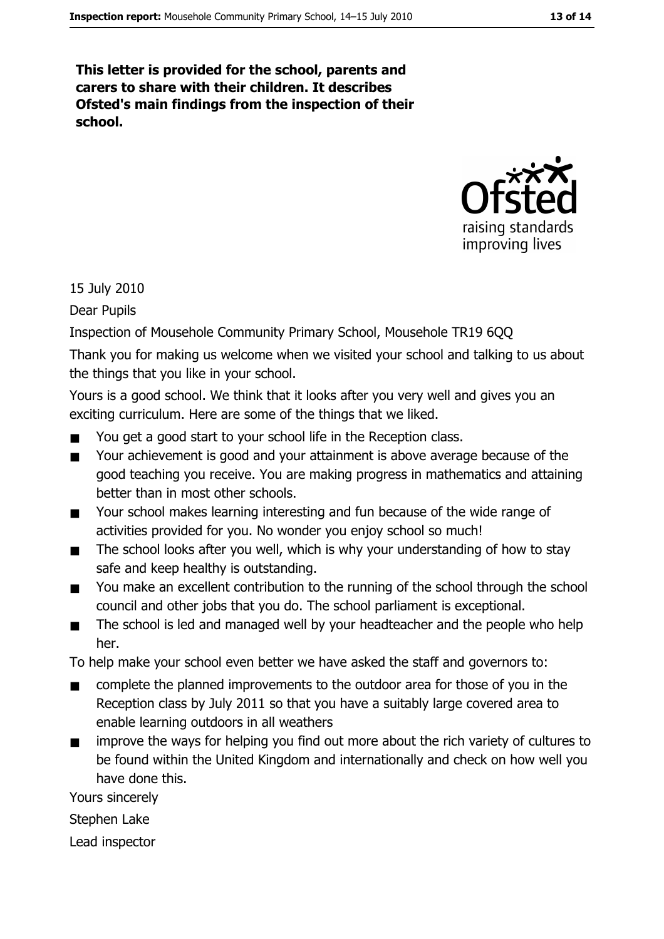This letter is provided for the school, parents and carers to share with their children. It describes Ofsted's main findings from the inspection of their school.



15 July 2010

Dear Pupils

Inspection of Mousehole Community Primary School, Mousehole TR19 6QQ

Thank you for making us welcome when we visited your school and talking to us about the things that you like in your school.

Yours is a good school. We think that it looks after you very well and gives you an exciting curriculum. Here are some of the things that we liked.

- You get a good start to your school life in the Reception class.  $\blacksquare$
- $\blacksquare$ Your achievement is good and your attainment is above average because of the good teaching you receive. You are making progress in mathematics and attaining better than in most other schools.
- Your school makes learning interesting and fun because of the wide range of  $\blacksquare$ activities provided for you. No wonder you enjoy school so much!
- The school looks after you well, which is why your understanding of how to stay  $\blacksquare$ safe and keep healthy is outstanding.
- You make an excellent contribution to the running of the school through the school  $\blacksquare$ council and other jobs that you do. The school parliament is exceptional.
- The school is led and managed well by your headteacher and the people who help  $\blacksquare$ her.

To help make your school even better we have asked the staff and governors to:

- complete the planned improvements to the outdoor area for those of you in the  $\blacksquare$ Reception class by July 2011 so that you have a suitably large covered area to enable learning outdoors in all weathers
- improve the ways for helping you find out more about the rich variety of cultures to be found within the United Kingdom and internationally and check on how well you have done this.

Yours sincerely

Stephen Lake

Lead inspector